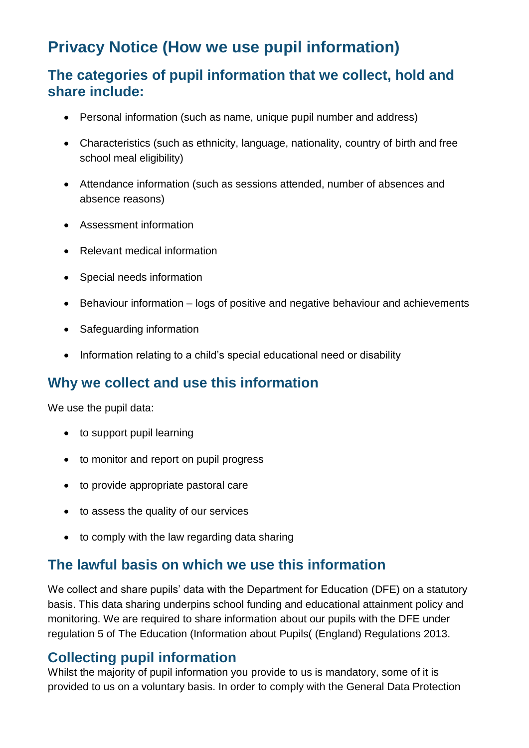# **Privacy Notice (How we use pupil information)**

#### **The categories of pupil information that we collect, hold and share include:**

- Personal information (such as name, unique pupil number and address)
- Characteristics (such as ethnicity, language, nationality, country of birth and free school meal eligibility)
- Attendance information (such as sessions attended, number of absences and absence reasons)
- Assessment information
- Relevant medical information
- Special needs information
- Behaviour information logs of positive and negative behaviour and achievements
- Safeguarding information
- Information relating to a child's special educational need or disability

#### **Why we collect and use this information**

We use the pupil data:

- to support pupil learning
- to monitor and report on pupil progress
- to provide appropriate pastoral care
- to assess the quality of our services
- to comply with the law regarding data sharing

#### **The lawful basis on which we use this information**

We collect and share pupils' data with the Department for Education (DFE) on a statutory basis. This data sharing underpins school funding and educational attainment policy and monitoring. We are required to share information about our pupils with the DFE under regulation 5 of The Education (Information about Pupils( (England) Regulations 2013.

#### **Collecting pupil information**

Whilst the majority of pupil information you provide to us is mandatory, some of it is provided to us on a voluntary basis. In order to comply with the General Data Protection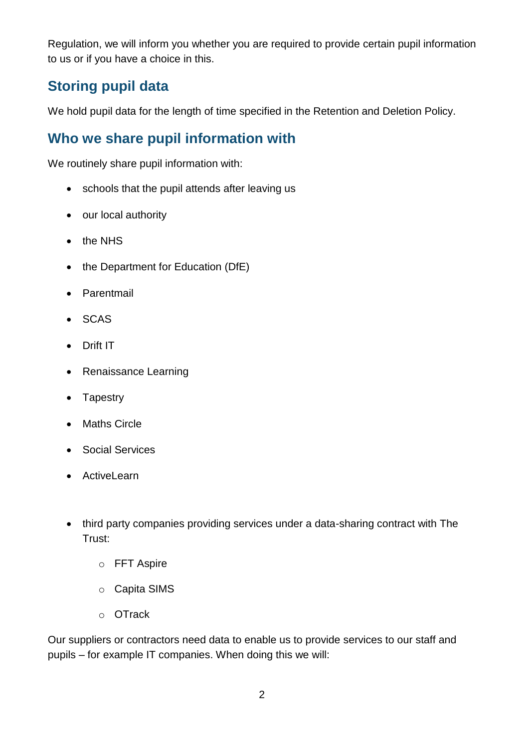Regulation, we will inform you whether you are required to provide certain pupil information to us or if you have a choice in this.

### **Storing pupil data**

We hold pupil data for the length of time specified in the Retention and Deletion Policy.

#### **Who we share pupil information with**

We routinely share pupil information with:

- schools that the pupil attends after leaving us
- our local authority
- $\bullet$  the NHS
- $\bullet$  the Department for Education (DfE)
- Parentmail
- SCAS
- Drift IT
- Renaissance Learning
- Tapestry
- Maths Circle
- Social Services
- ActiveLearn
- third party companies providing services under a data-sharing contract with The Trust:
	- o FFT Aspire
	- o Capita SIMS
	- o OTrack

Our suppliers or contractors need data to enable us to provide services to our staff and pupils – for example IT companies. When doing this we will: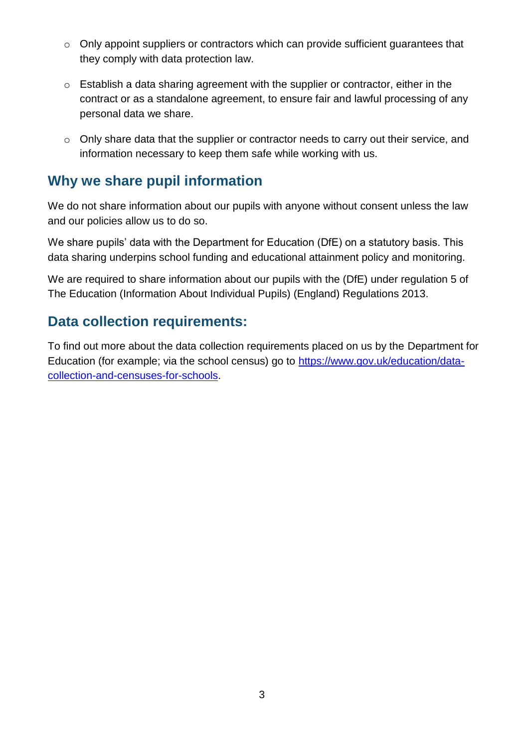- o Only appoint suppliers or contractors which can provide sufficient guarantees that they comply with data protection law.
- o Establish a data sharing agreement with the supplier or contractor, either in the contract or as a standalone agreement, to ensure fair and lawful processing of any personal data we share.
- o Only share data that the supplier or contractor needs to carry out their service, and information necessary to keep them safe while working with us.

#### **Why we share pupil information**

We do not share information about our pupils with anyone without consent unless the law and our policies allow us to do so.

We share pupils' data with the Department for Education (DfE) on a statutory basis. This data sharing underpins school funding and educational attainment policy and monitoring.

We are required to share information about our pupils with the (DfE) under regulation 5 of The Education (Information About Individual Pupils) (England) Regulations 2013.

#### **Data collection requirements:**

To find out more about the data collection requirements placed on us by the Department for Education (for example; via the school census) go to [https://www.gov.uk/education/data](https://www.gov.uk/education/data-collection-and-censuses-for-schools)[collection-and-censuses-for-schools.](https://www.gov.uk/education/data-collection-and-censuses-for-schools)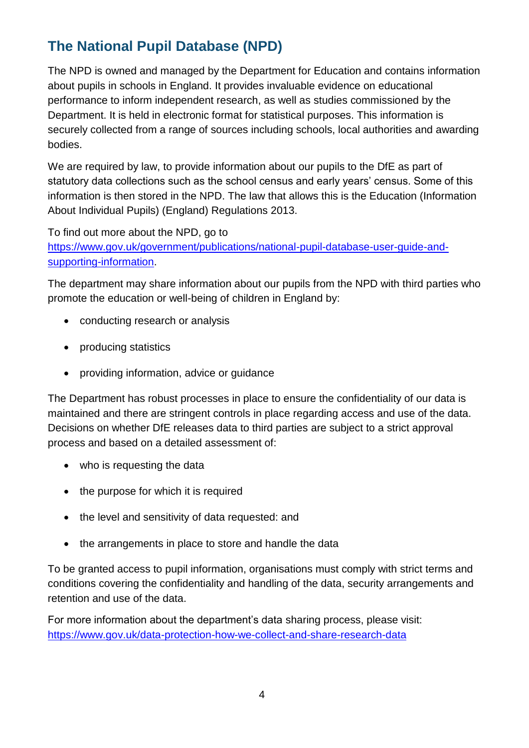### **The National Pupil Database (NPD)**

The NPD is owned and managed by the Department for Education and contains information about pupils in schools in England. It provides invaluable evidence on educational performance to inform independent research, as well as studies commissioned by the Department. It is held in electronic format for statistical purposes. This information is securely collected from a range of sources including schools, local authorities and awarding bodies.

We are required by law, to provide information about our pupils to the DfE as part of statutory data collections such as the school census and early years' census. Some of this information is then stored in the NPD. The law that allows this is the Education (Information About Individual Pupils) (England) Regulations 2013.

To find out more about the NPD, go to

[https://www.gov.uk/government/publications/national-pupil-database-user-guide-and](https://www.gov.uk/government/publications/national-pupil-database-user-guide-and-supporting-information)[supporting-information.](https://www.gov.uk/government/publications/national-pupil-database-user-guide-and-supporting-information)

The department may share information about our pupils from the NPD with third parties who promote the education or well-being of children in England by:

- conducting research or analysis
- producing statistics
- providing information, advice or guidance

The Department has robust processes in place to ensure the confidentiality of our data is maintained and there are stringent controls in place regarding access and use of the data. Decisions on whether DfE releases data to third parties are subject to a strict approval process and based on a detailed assessment of:

- who is requesting the data
- the purpose for which it is required
- the level and sensitivity of data requested: and
- the arrangements in place to store and handle the data

To be granted access to pupil information, organisations must comply with strict terms and conditions covering the confidentiality and handling of the data, security arrangements and retention and use of the data.

For more information about the department's data sharing process, please visit: <https://www.gov.uk/data-protection-how-we-collect-and-share-research-data>